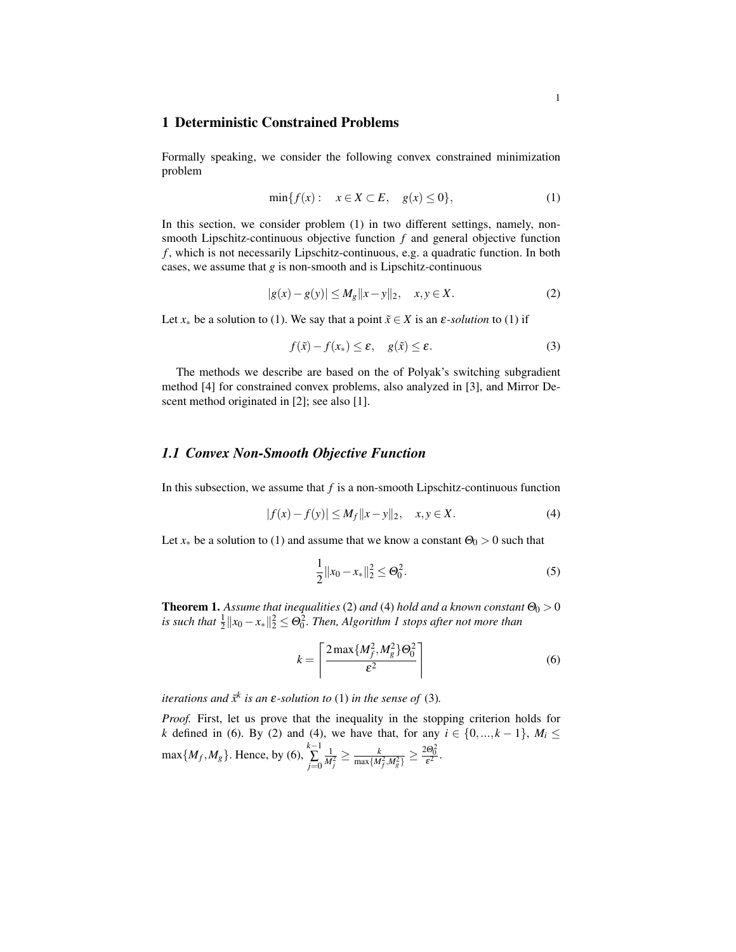## 1 Deterministic Constrained Problems

Formally speaking, we consider the following convex constrained minimization problem

$$
\min\{f(x): x \in X \subset E, g(x) \le 0\},\tag{1}
$$

In this section, we consider problem (1) in two different settings, namely, nonsmooth Lipschitz-continuous objective function *f* and general objective function *f* , which is not necessarily Lipschitz-continuous, e.g. a quadratic function. In both cases, we assume that *g* is non-smooth and is Lipschitz-continuous

$$
|g(x) - g(y)| \le M_g \|x - y\|_2, \quad x, y \in X. \tag{2}
$$

Let  $x_*$  be a solution to (1). We say that a point  $\tilde{x} \in X$  is an  $\varepsilon$ -*solution* to (1) if

$$
f(\tilde{x}) - f(x_*) \le \varepsilon, \quad g(\tilde{x}) \le \varepsilon. \tag{3}
$$

The methods we describe are based on the of Polyak's switching subgradient method [4] for constrained convex problems, also analyzed in [3], and Mirror Descent method originated in [2]; see also [1].

## *1.1 Convex Non-Smooth Objective Function*

In this subsection, we assume that  $f$  is a non-smooth Lipschitz-continuous function

$$
|f(x) - f(y)| \le M_f \|x - y\|_2, \quad x, y \in X.
$$
 (4)

Let  $x_*$  be a solution to (1) and assume that we know a constant  $\Theta_0 > 0$  such that

$$
\frac{1}{2}||x_0 - x_*||_2^2 \le \Theta_0^2. \tag{5}
$$

**Theorem 1.** Assume that inequalities (2) and (4) hold and a known constant  $\Theta_0 > 0$ is such that  $\frac{1}{2} \| x_0 - x_* \|^2_2 \leq \Theta_0^2$ . Then, Algorithm 1 stops after not more than

$$
k = \left\lceil \frac{2 \max\{M_f^2, M_g^2\} \Theta_0^2}{\varepsilon^2} \right\rceil \tag{6}
$$

*iterations and*  $\bar{x}^k$  *is an*  $\varepsilon$ -solution to (1) *in the sense of* (3).

*Proof.* First, let us prove that the inequality in the stopping criterion holds for *k* defined in (6). By (2) and (4), we have that, for any  $i \in \{0, ..., k - 1\}$ ,  $M_i \le$  $\max\{M_f, M_g\}$ . Hence, by (6),  $\sum_{k=1}^{k-1}$ ∑ *j*=0  $\frac{1}{M_j^2} \geq \frac{k}{\max\{M_f^2,M_g^2\}} \geq \frac{2\Theta_0^2}{\varepsilon^2}.$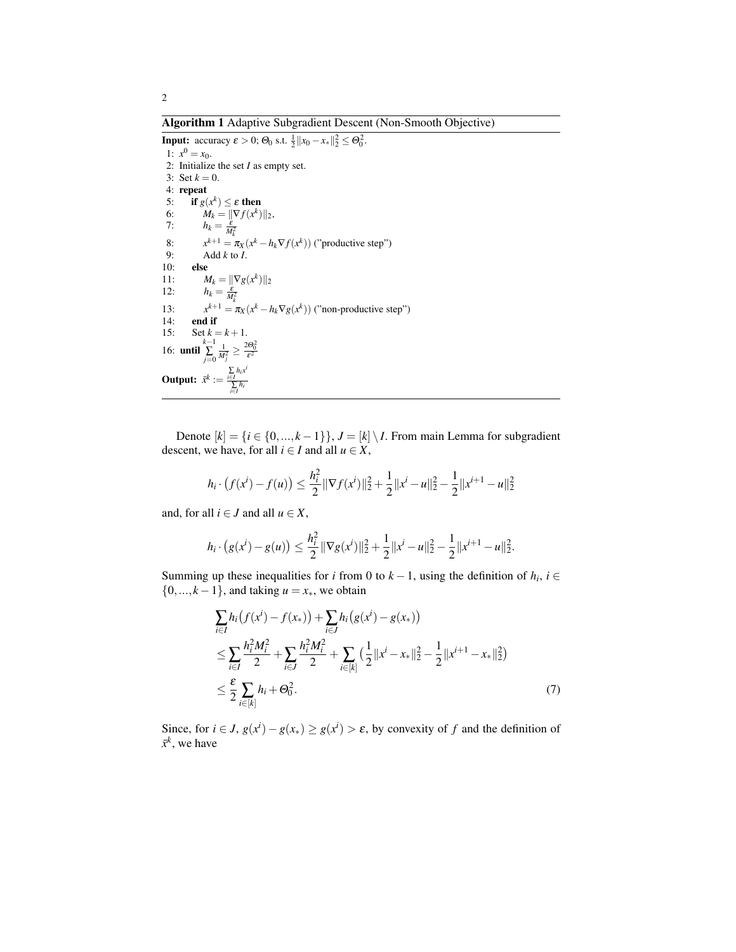Algorithm 1 Adaptive Subgradient Descent (Non-Smooth Objective)

**Input:** accuracy  $\varepsilon > 0$ ;  $\Theta_0$  s.t.  $\frac{1}{2} ||x_0 - x_*||_2^2 \le \Theta_0^2$ . 1:  $x^0 = x_0$ . 2: Initialize the set *I* as empty set. 3: Set  $k = 0$ . 4: repeat 5: if  $g(x^k) \leq \varepsilon$  then 6:  $M_k = \|\nabla f(x^k)\|_2,$ 7:  $h_k = \frac{\varepsilon}{M_k^2}$ 8: *x*  $x^{k+1} = \pi_X(x^k - h_k \nabla f(x^k))$  ("productive step") 9: Add  $k$  to  $I$ .<br>10: **else** else 11:  $M_k = ||\nabla g(x^k)||_2$ 12:  $h_k = \frac{\varepsilon}{M_k^2}$ 13: *x*  $x^{k+1} = \pi_X(x^k - h_k \nabla g(x^k))$  ("non-productive step") end if 15: Set  $k = k + 1$ . 16: **until**  $\sum_{j=0}^{k-1}$  $\frac{1}{M_j^2} \geq \frac{2\Theta_0^2}{\varepsilon^2}$ **Output:**  $\bar{x}^k := \frac{\sum_{i \in I} h_i x^i}{\sum_{i \in I} h_i}$ ∑ *i*∈*I hi*

Denote  $[k] = \{i \in \{0, ..., k-1\}\}, J = [k] \setminus I$ . From main Lemma for subgradient descent, we have, for all  $i \in I$  and all  $u \in X$ ,

$$
h_i \cdot (f(x^i) - f(u)) \le \frac{h_i^2}{2} \|\nabla f(x^i)\|_2^2 + \frac{1}{2} \|x^i - u\|_2^2 - \frac{1}{2} \|x^{i+1} - u\|_2^2
$$

and, for all  $i \in J$  and all  $u \in X$ ,

$$
h_i \cdot (g(x^i) - g(u)) \leq \frac{h_i^2}{2} \|\nabla g(x^i)\|_2^2 + \frac{1}{2} \|x^i - u\|_2^2 - \frac{1}{2} \|x^{i+1} - u\|_2^2.
$$

Summing up these inequalities for *i* from 0 to  $k - 1$ , using the definition of  $h_i$ ,  $i \in$  $\{0, \ldots, k-1\}$ , and taking  $u = x_*$ , we obtain

$$
\sum_{i \in I} h_i(f(x^i) - f(x_*)) + \sum_{i \in J} h_i(g(x^i) - g(x_*))
$$
\n
$$
\leq \sum_{i \in I} \frac{h_i^2 M_i^2}{2} + \sum_{i \in J} \frac{h_i^2 M_i^2}{2} + \sum_{i \in [k]} \left(\frac{1}{2} ||x^i - x_*||_2^2 - \frac{1}{2} ||x^{i+1} - x_*||_2^2\right)
$$
\n
$$
\leq \frac{\varepsilon}{2} \sum_{i \in [k]} h_i + \Theta_0^2. \tag{7}
$$

Since, for  $i \in J$ ,  $g(x^i) - g(x^*) \ge g(x^i) > \varepsilon$ , by convexity of *f* and the definition of  $\bar{x}^k$ , we have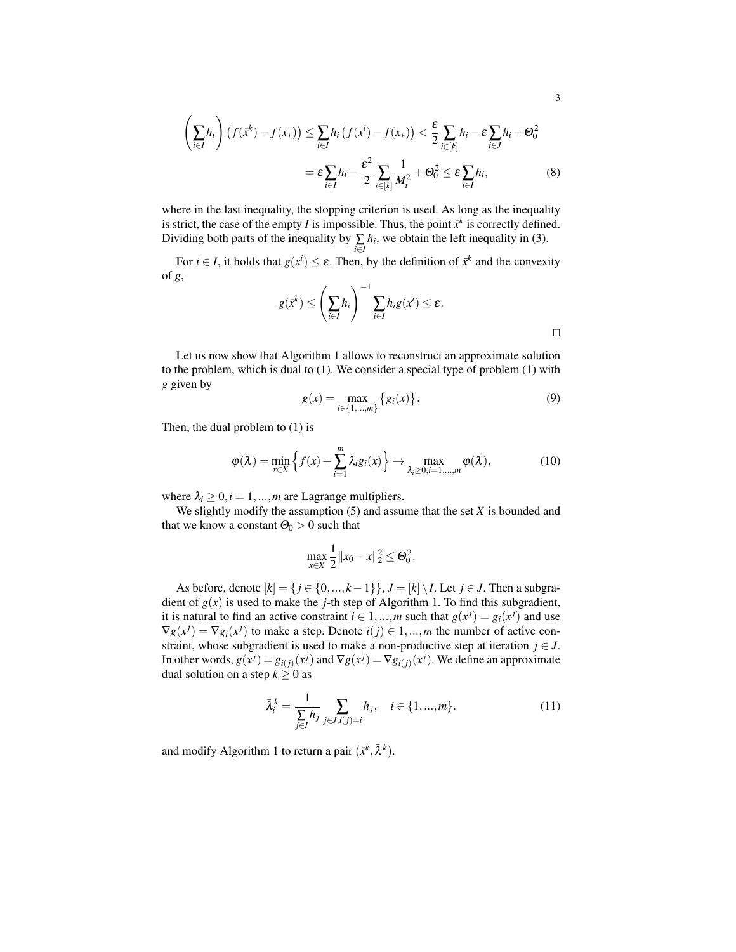$$
\left(\sum_{i\in I} h_i\right) \left(f(\bar{x}^k) - f(x_*)\right) \le \sum_{i\in I} h_i \left(f(x^i) - f(x_*)\right) < \frac{\varepsilon}{2} \sum_{i\in [k]} h_i - \varepsilon \sum_{i\in J} h_i + \Theta_0^2
$$
\n
$$
= \varepsilon \sum_{i\in I} h_i - \frac{\varepsilon^2}{2} \sum_{i\in [k]} \frac{1}{M_i^2} + \Theta_0^2 \le \varepsilon \sum_{i\in I} h_i,\tag{8}
$$

where in the last inequality, the stopping criterion is used. As long as the inequality is strict, the case of the empty *I* is impossible. Thus, the point  $\bar{x}^k$  is correctly defined. Dividing both parts of the inequality by  $\sum_{i \in I} h_i$ , we obtain the left inequality in (3).

For  $i \in I$ , it holds that  $g(x^i) \leq \varepsilon$ . Then, by the definition of  $\bar{x}^k$  and the convexity of *g*,

$$
g(\bar{x}^k) \leq \left(\sum_{i \in I} h_i\right)^{-1} \sum_{i \in I} h_i g(x^i) \leq \varepsilon.
$$

Let us now show that Algorithm 1 allows to reconstruct an approximate solution to the problem, which is dual to (1). We consider a special type of problem (1) with *g* given by

$$
g(x) = \max_{i \in \{1, \dots, m\}} \{g_i(x)\}.
$$
 (9)

Then, the dual problem to (1) is

$$
\varphi(\lambda) = \min_{x \in X} \left\{ f(x) + \sum_{i=1}^{m} \lambda_i g_i(x) \right\} \to \max_{\lambda_i \ge 0, i=1,\dots,m} \varphi(\lambda), \tag{10}
$$

where  $\lambda_i \geq 0, i = 1, \ldots, m$  are Lagrange multipliers.

We slightly modify the assumption (5) and assume that the set *X* is bounded and that we know a constant  $\Theta_0 > 0$  such that

$$
\max_{x \in X} \frac{1}{2} ||x_0 - x||_2^2 \leq \Theta_0^2.
$$

As before, denote  $[k] = \{j \in \{0, ..., k-1\}\}\$ ,  $J = [k] \setminus I$ . Let  $j \in J$ . Then a subgradient of  $g(x)$  is used to make the *j*-th step of Algorithm 1. To find this subgradient, it is natural to find an active constraint  $i \in 1, ..., m$  such that  $g(x^j) = g_i(x^j)$  and use  $\nabla g(x^j) = \nabla g_i(x^j)$  to make a step. Denote  $i(j) \in 1, ..., m$  the number of active constraint, whose subgradient is used to make a non-productive step at iteration  $j \in J$ . In other words,  $g(x^j) = g_{i(j)}(x^j)$  and  $\nabla g(x^j) = \nabla g_{i(j)}(x^j)$ . We define an approximate dual solution on a step  $k \geq 0$  as

$$
\bar{\lambda}_i^k = \frac{1}{\sum_{j \in I} h_j} \sum_{j \in J, i(j) = i} h_j, \quad i \in \{1, ..., m\}.
$$
 (11)

and modify Algorithm 1 to return a pair  $(\bar{x}^k, \bar{\lambda}^k)$ .

 $\Box$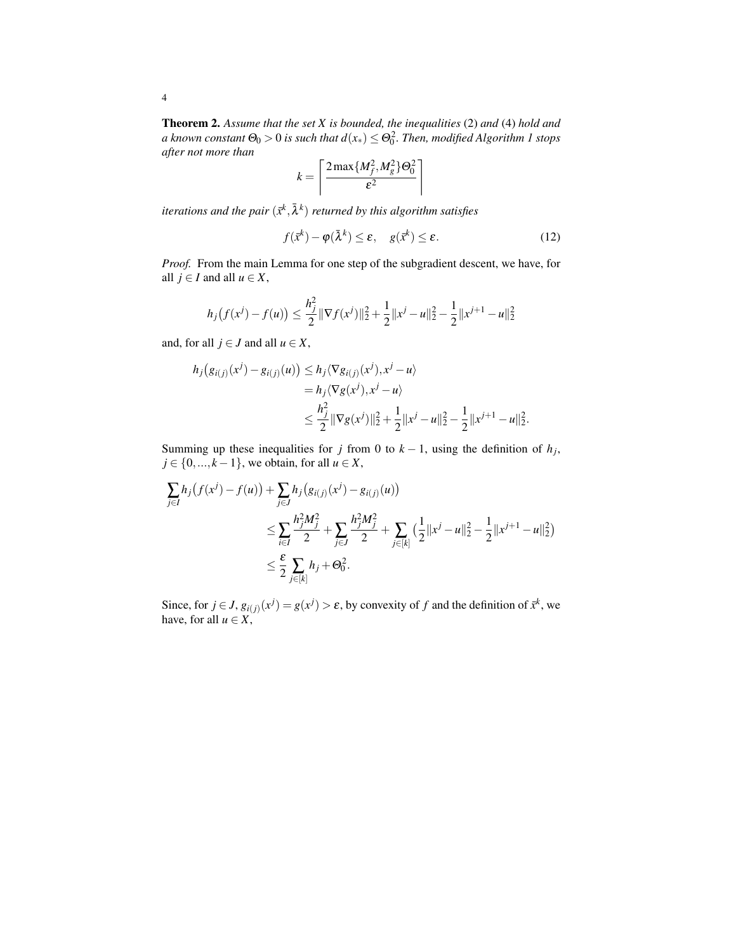Theorem 2. *Assume that the set X is bounded, the inequalities* (2) *and* (4) *hold and* a known constant  $\Theta_0 > 0$  is such that  $d(x_*) \le \Theta_0^2.$  Then, modified Algorithm  $1$  stops *after not more than*

$$
k = \left\lceil \frac{2 \max\{M_f^2, M_g^2\} \Theta_0^2}{\varepsilon^2} \right\rceil
$$

iterations and the pair  $(\tilde{x}^k, \bar{\lambda}^k)$  returned by this algorithm satisfies

$$
f(\bar{x}^k) - \varphi(\bar{\lambda}^k) \le \varepsilon, \quad g(\bar{x}^k) \le \varepsilon. \tag{12}
$$

*Proof.* From the main Lemma for one step of the subgradient descent, we have, for all *j* ∈ *I* and all *u* ∈ *X*,

$$
h_j(f(x^j) - f(u)) \le \frac{h_j^2}{2} \|\nabla f(x^j)\|_2^2 + \frac{1}{2} \|x^j - u\|_2^2 - \frac{1}{2} \|x^{j+1} - u\|_2^2
$$

and, for all  $j \in J$  and all  $u \in X$ ,

$$
h_j(g_{i(j)}(x^j) - g_{i(j)}(u)) \le h_j \langle \nabla g_{i(j)}(x^j), x^j - u \rangle
$$
  
=  $h_j \langle \nabla g(x^j), x^j - u \rangle$   

$$
\le \frac{h_j^2}{2} \|\nabla g(x^j)\|_2^2 + \frac{1}{2} \|x^j - u\|_2^2 - \frac{1}{2} \|x^{j+1} - u\|_2^2.
$$

Summing up these inequalities for *j* from 0 to  $k - 1$ , using the definition of  $h_j$ , *j* ∈ {0, ..., *k* − 1}, we obtain, for all *u* ∈ *X*,

$$
\sum_{j\in I} h_j(f(x^j) - f(u)) + \sum_{j\in J} h_j(g_{i(j)}(x^j) - g_{i(j)}(u))
$$
\n
$$
\leq \sum_{i\in I} \frac{h_j^2 M_j^2}{2} + \sum_{j\in J} \frac{h_j^2 M_j^2}{2} + \sum_{j\in [k]} \left(\frac{1}{2} ||x^j - u||_2^2 - \frac{1}{2} ||x^{j+1} - u||_2^2\right)
$$
\n
$$
\leq \frac{\varepsilon}{2} \sum_{j\in [k]} h_j + \Theta_0^2.
$$

Since, for  $j \in J$ ,  $g_{i(j)}(x^j) = g(x^j) > \varepsilon$ , by convexity of f and the definition of  $\bar{x}^k$ , we have, for all  $u \in X$ ,